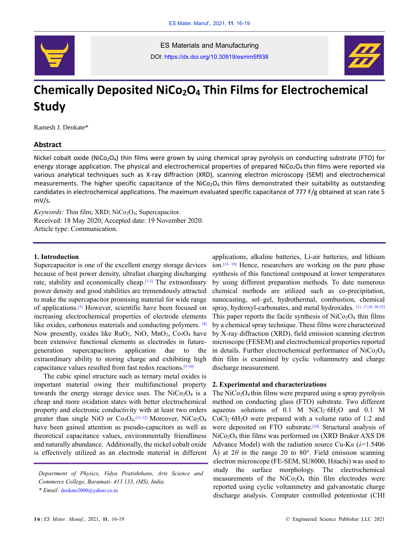

ES Materials and Manufacturing DOI: https://dx.doi.org/10.30919/esmm5f938



# **Chemically Deposited NiCo2O<sup>4</sup> Thin Films for Electrochemical Study**

Ramesh J. Deokate\*

## **Abstract**

Nickel cobalt oxide (NiCo<sub>2</sub>O<sub>4</sub>) thin films were grown by using chemical spray pyrolysis on conducting substrate (FTO) for energy storage application. The physical and electrochemical properties of prepared  $NiCo<sub>2</sub>O<sub>4</sub>$ thin films were reported via various analytical techniques such as X-ray diffraction (XRD), scanning electron microscopy (SEM) and electrochemical measurements. The higher specific capacitance of the NiCo<sub>2</sub>O<sub>4</sub> thin films demonstrated their suitability as outstanding candidates in electrochemical applications. The maximum evaluated specific capacitance of 777 F/g obtained at scan rate 5 mV/s.

*Keywords:* Thin film; XRD; NiCo<sub>2</sub>O<sub>4</sub>; Supercapacitor. Received: 18 May 2020; Accepted date: 19 November 2020. Article type: Communication.

### **1. Introduction**

Supercapacitor is one of the excellent energy storage devices because of best power density, ultrafast charging discharging rate, stability and economically cheap.<sup>[1-2]</sup> The extraordinary power density and good stabilities are tremendously attracted to make the supercapacitor promising material for wide range of applications.<sup>[3]</sup> However, scientific have been focused on increasing electrochemical properties of electrode elements like oxides, carbonous materials and conducting polymers. [4] Now presently, oxides like  $RuO<sub>2</sub>$ , NiO, MnO<sub>2</sub>, Co<sub>3</sub>O<sub>4</sub> have been extensive functional elements as electrodes in futuregeneration supercapacitors application due to the extraordinary ability to storing charge and exhibiting high capacitance values resulted from fast redox reactions. [5-10]

The cubic spinel structure such as ternary metal oxides is important material owing their multifunctional property towards the energy storage device uses. The  $NiCo<sub>2</sub>O<sub>4</sub>$  is a cheap and more oxidation states with better electrochemical property and electronic conductivity with at least two orders greater than single NiO or  $Co<sub>3</sub>O<sub>4</sub>$ . [11-12] Moreover, NiCo<sub>2</sub>O<sub>4</sub> have been gained attention as pseudo-capacitors as well as theoretical capacitance values, environmentally friendliness and naturally abundance. Additionally, the nickel cobalt oxide is effectively utilized as an electrode material in different

applications, alkaline batteries, Li-air batteries, and lithium ion.<sup>[13-19]</sup> Hence, researchers are working on the pure phase synthesis of this functional compound at lower temperatures by using different preparation methods. To date numerous chemical methods are utilized such as co-precipitation, nanocasting, sol–gel, hydrothermal, combustion, chemical spray, hydroxyl-carbonates, and metal hydroxides. [11, 17,18, 20-23] This paper reports the facile synthesis of  $NiCo<sub>2</sub>O<sub>4</sub>$  thin films by a chemical spray technique. These films were characterized by X-ray diffraction (XRD), field emission scanning electron microscope (FESEM) and electrochemical properties reported in details. Further electrochemical performance of  $NiCo<sub>2</sub>O<sub>4</sub>$ thin film is examined by cyclic voltammetry and charge discharge measurement.

#### **2. Experimental and characterizations**

The  $NiCo<sub>2</sub>O<sub>4</sub>$  thin films were prepared using a spray pyrolysis method on conducting glass (FTO) substrate. Two different aqueous solutions of 0.1 M  $NiCl<sub>2</sub>·6H<sub>2</sub>O$  and 0.1 M  $CoCl<sub>2</sub>·6H<sub>2</sub>O$  were prepared with a volume ratio of 1:2 and were deposited on FTO substrate.<sup>[24]</sup> Structural analysis of NiCo2O<sup>4</sup> thin films was performed on (XRD Bruker AXS D8 Advance Model) with the radiation source Cu-K*α* (*λ*=1.5406 Å) at  $2\theta$  in the range 20 to 80°. Field emission scanning electron microscope (FE-SEM, SU8000, Hitachi) was used to study the surface morphology. The electrochemical measurements of the  $NiCo<sub>2</sub>O<sub>4</sub>$  thin film electrodes were reported using cyclic voltammetry and galvanostatic charge discharge analysis. Computer controlled potentiostat (CHI

*Department of Physics, Vidya Pratishthans, Arts Science and Commerce College, Baramati- 413 133, (MS), India.*

*<sup>\*</sup> Email:* deokate2000@yahoo.co.in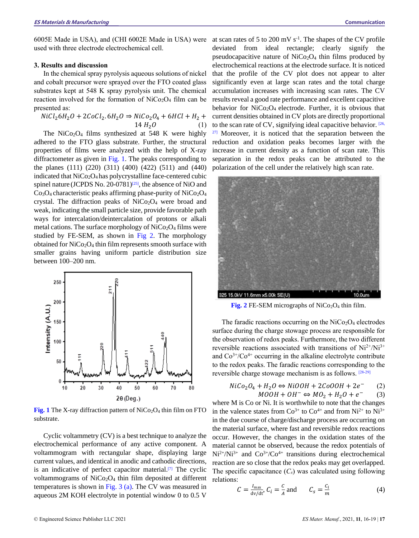# **3. Results and discussion**

In the chemical spray pyrolysis aqueous solutions of nickel and cobalt precursor were sprayed over the FTO coated glass substrates kept at 548 K spray pyrolysis unit. The chemical reaction involved for the formation of  $NiCo<sub>2</sub>O<sub>4</sub>$  film can be presented as:

$$
NiCl_26H_2O + 2CoCl_2.6H_2O \Rightarrow NiCo_2O_4 + 6HCl + H_2 + 14H_2O
$$
 (1)

The NiCo<sub>2</sub>O<sub>4</sub> films synthesized at 548 K were highly adhered to the FTO glass substrate. Further, the structural properties of films were analyzed with the help of X-ray diffractometer as given in Fig. 1. The peaks corresponding to the planes (111) (220) (311) (400) (422) (511) and (440) indicated that  $NiCo<sub>2</sub>O<sub>4</sub>$  has polycrystalline face-centered cubic spinel nature (JCPDS No. 20-0781)<sup>[25]</sup>, the absence of NiO and  $Co<sub>3</sub>O<sub>4</sub>$  characteristic peaks affirming phase-purity of NiCo<sub>2</sub>O<sub>4</sub> crystal. The diffraction peaks of  $NiCo<sub>2</sub>O<sub>4</sub>$  were broad and weak, indicating the small particle size, provide favorable path ways for intercalation/deintercalation of protons or alkali metal cations. The surface morphology of  $NiCo<sub>2</sub>O<sub>4</sub>$  films were studied by FE-SEM, as shown in Fig 2. The morphology obtained for  $NiCo<sub>2</sub>O<sub>4</sub>$  thin film represents smooth surface with smaller grains having uniform particle distribution size between 100–200 nm.



**Fig. 1** The X-ray diffraction pattern of  $NiCo<sub>2</sub>O<sub>4</sub>$  thin film on FTO substrate.

Cyclic voltammetry (CV) is a best technique to analyze the electrochemical performance of any active component. A voltammogram with rectangular shape, displaying large current values, and identical in anodic and cathodic directions, is an indicative of perfect capacitor material. $[7]$  The cyclic voltammograms of  $NiCo<sub>2</sub>O<sub>4</sub>$  thin film deposited at different temperatures is shown in Fig. 3 (a). The CV was measured in aqueous 2M KOH electrolyte in potential window 0 to 0.5 V

at scan rates of 5 to 200 mV s-1 . The shapes of the CV profile deviated from ideal rectangle; clearly signify the pseudocapacitive nature of  $NiCo<sub>2</sub>O<sub>4</sub>$  thin films produced by electrochemical reactions at the electrode surface. It is noticed that the profile of the CV plot does not appear to alter significantly even at large scan rates and the total charge accumulation increases with increasing scan rates. The CV results reveal a good rate performance and excellent capacitive behavior for  $NiCo<sub>2</sub>O<sub>4</sub>$  electrode. Further, it is obvious that current densities obtained in CV plots are directly proportional to the scan rate of CV, signifying ideal capacitive behavior. [26,  $27$ ] Moreover, it is noticed that the separation between the reduction and oxidation peaks becomes larger with the increase in current density as a function of scan rate. This separation in the redox peaks can be attributed to the polarization of the cell under the relatively high scan rate.



**Fig. 2** FE-SEM micrographs of  $NiCo<sub>2</sub>O<sub>4</sub>$  thin film.

The faradic reactions occurring on the  $NiCo<sub>2</sub>O<sub>4</sub>$  electrodes surface during the charge stowage process are responsible for the observation of redox peaks. Furthermore, the two different reversible reactions associated with transitions of  $Ni^{2+}/Ni^{3+}$ and  $Co<sup>3+/Co<sup>4+</sup></sup>$  occurring in the alkaline electrolyte contribute to the redox peaks. The faradic reactions corresponding to the reversible charge stowage mechanism is as follows. [28-29]

$$
NiCo2O4 + H2O \Leftrightarrow NiOOH + 2CoOOH + 2e^-
$$
 (2)  

$$
MOOH + OH^- \Leftrightarrow MO2 + H2O + e^-
$$
 (3)

where M is Co or Ni. It is worthwhile to note that the changes in the valence states from  $Co^{3+}$  to  $Co^{4+}$  and from  $Ni^{2+}$  to  $Ni^{3+}$ in the due course of charge/discharge process are occurring on the material surface, where fast and reversible redox reactions occur. However, the changes in the oxidation states of the material cannot be observed, because the redox potentials of  $Ni^{2+}/Ni^{3+}$  and  $Co^{3+}/Co^{4+}$  transitions during electrochemical reaction are so close that the redox peaks may get overlapped. The specific capacitance  $(C_s)$  was calculated using following relations:

$$
C = \frac{I_{\text{max}}}{\text{d}v/\text{d}t}, C_i = \frac{c}{A} \text{ and } C_s = \frac{C_i}{m}
$$
 (4)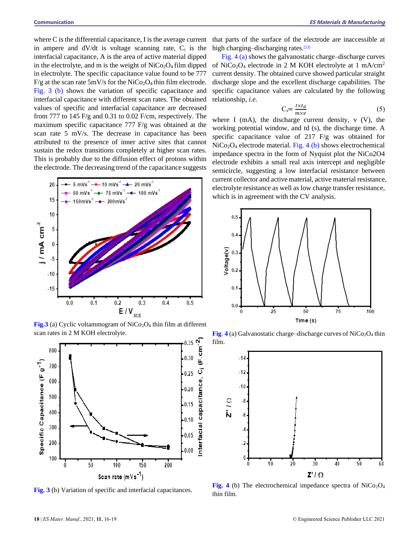where C is the differential capacitance, I is the average current in ampere and  $dV/dt$  is voltage scanning rate,  $C_i$  is the interfacial capacitance, A is the area of active material dipped in the electrolyte, and m is the weight of  $NiCo<sub>2</sub>O<sub>4</sub>$  film dipped in electrolyte. The specific capacitance value found to be 777  $F/g$  at the scan rate 5mV/s for the NiCo<sub>2</sub>O<sub>4</sub> thin film electrode. Fig. 3 (b) shows the variation of specific capacitance and interfacial capacitance with different scan rates. The obtained values of specific and interfacial capacitance are decreased from 777 to 145 F/g and 0.31 to 0.02 F/cm, respectively. The maximum specific capacitance 777 F/g was obtained at the scan rate 5 mV/s. The decrease in capacitance has been attributed to the presence of inner active sites that cannot sustain the redox transitions completely at higher scan rates. This is probably due to the diffusion effect of protons within the electrode. The decreasing trend of the capacitance suggests



**Fig.3** (a) Cyclic voltammogram of  $NiCo<sub>2</sub>O<sub>4</sub>$  thin film at different scan rates in 2 M KOH electrolyte.



**Fig. 3** (b) Variation of specific and interfacial capacitances.

that parts of the surface of the electrode are inaccessible at high charging-discharging rates.<sup>[23]</sup>

Fig. 4 (a) shows the galvanostatic charge–discharge curves of NiCo<sub>2</sub>O<sub>4</sub> electrode in 2 M KOH electrolyte at 1 mA/cm<sup>2</sup> current density. The obtained curve showed particular straight discharge slope and the excellent discharge capabilities. The specific capacitance values are calculated by the following relationship, *i.e.*

$$
C_s = \frac{I \times t_d}{m \times v} \tag{5}
$$

where I (mA), the discharge current density,  $v$  (V), the working potential window, and td (s), the discharge time. A specific capacitance value of 217 F/g was obtained for  $NiCo<sub>2</sub>O<sub>4</sub>$  electrode material. Fig. 4 (b) shows electrochemical impedance spectra in the form of Nyquist plot the NiCo2O4 electrode exhibits a small real axis intercept and negligible semicircle, suggesting a low interfacial resistance between current collector and active material, active material resistance, electrolyte resistance as well as low charge transfer resistance, which is in agreement with the CV analysis.



**Fig. 4** (a) Galvanostatic charge–discharge curves of  $NiCo<sub>2</sub>O<sub>4</sub>$  thin film.



**Fig. 4** (b) The electrochemical impedance spectra of  $NiCo<sub>2</sub>O<sub>4</sub>$ thin film.